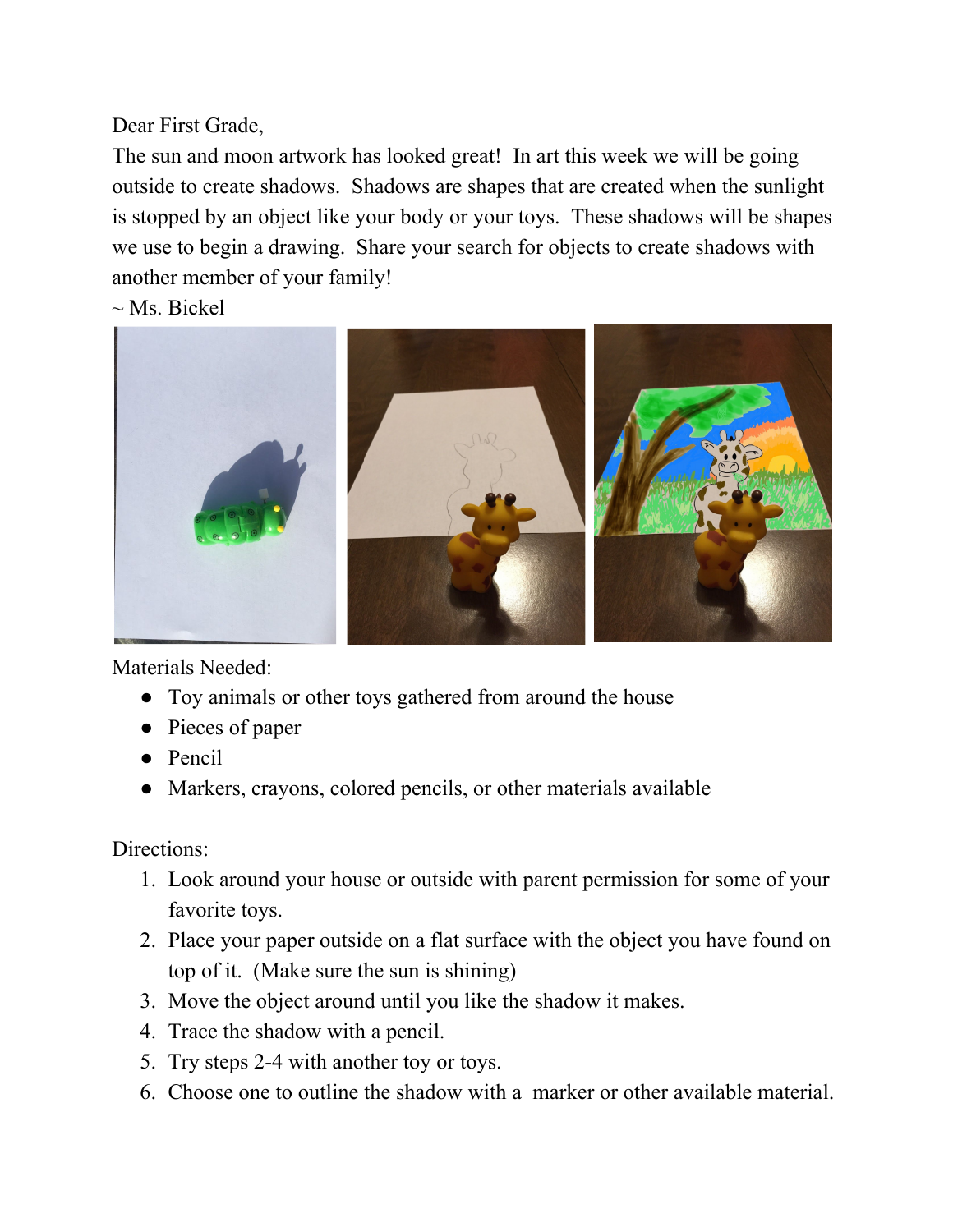Dear First Grade,

The sun and moon artwork has looked great! In art this week we will be going outside to create shadows. Shadows are shapes that are created when the sunlight is stopped by an object like your body or your toys. These shadows will be shapes we use to begin a drawing. Share your search for objects to create shadows with another member of your family!

 $\sim$  Ms. Bickel



Materials Needed:

- Toy animals or other toys gathered from around the house
- Pieces of paper
- Pencil
- Markers, crayons, colored pencils, or other materials available

Directions:

- 1. Look around your house or outside with parent permission for some of your favorite toys.
- 2. Place your paper outside on a flat surface with the object you have found on top of it. (Make sure the sun is shining)
- 3. Move the object around until you like the shadow it makes.
- 4. Trace the shadow with a pencil.
- 5. Try steps 2-4 with another toy or toys.
- 6. Choose one to outline the shadow with a marker or other available material.